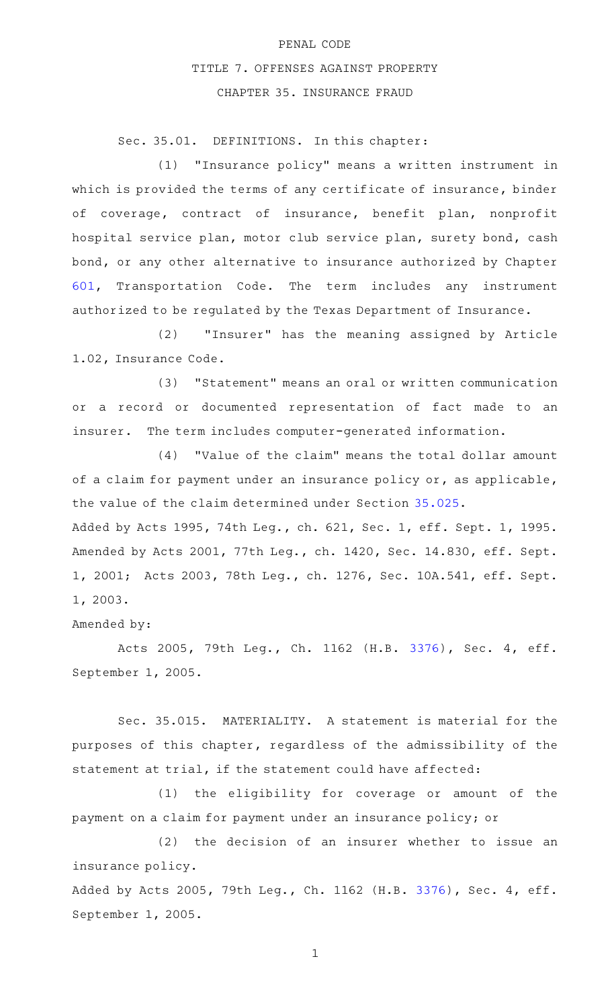## PENAL CODE TITLE 7. OFFENSES AGAINST PROPERTY CHAPTER 35. INSURANCE FRAUD

Sec. 35.01. DEFINITIONS. In this chapter:

(1) "Insurance policy" means a written instrument in which is provided the terms of any certificate of insurance, binder of coverage, contract of insurance, benefit plan, nonprofit hospital service plan, motor club service plan, surety bond, cash bond, or any other alternative to insurance authorized by Chapter [601,](http://www.statutes.legis.state.tx.us/GetStatute.aspx?Code=TN&Value=601) Transportation Code. The term includes any instrument authorized to be regulated by the Texas Department of Insurance.

(2) "Insurer" has the meaning assigned by Article 1.02, Insurance Code.

(3) "Statement" means an oral or written communication or a record or documented representation of fact made to an insurer. The term includes computer-generated information.

(4) "Value of the claim" means the total dollar amount of a claim for payment under an insurance policy or, as applicable, the value of the claim determined under Section [35.025](http://www.statutes.legis.state.tx.us/GetStatute.aspx?Code=PE&Value=35.025). Added by Acts 1995, 74th Leg., ch. 621, Sec. 1, eff. Sept. 1, 1995.

Amended by Acts 2001, 77th Leg., ch. 1420, Sec. 14.830, eff. Sept. 1, 2001; Acts 2003, 78th Leg., ch. 1276, Sec. 10A.541, eff. Sept. 1, 2003.

Amended by:

Acts 2005, 79th Leg., Ch. 1162 (H.B. [3376](http://www.legis.state.tx.us/tlodocs/79R/billtext/html/HB03376F.HTM)), Sec. 4, eff. September 1, 2005.

Sec. 35.015. MATERIALITY. A statement is material for the purposes of this chapter, regardless of the admissibility of the statement at trial, if the statement could have affected:

(1) the eligibility for coverage or amount of the payment on a claim for payment under an insurance policy; or

(2) the decision of an insurer whether to issue an insurance policy.

Added by Acts 2005, 79th Leg., Ch. 1162 (H.B. [3376\)](http://www.legis.state.tx.us/tlodocs/79R/billtext/html/HB03376F.HTM), Sec. 4, eff. September 1, 2005.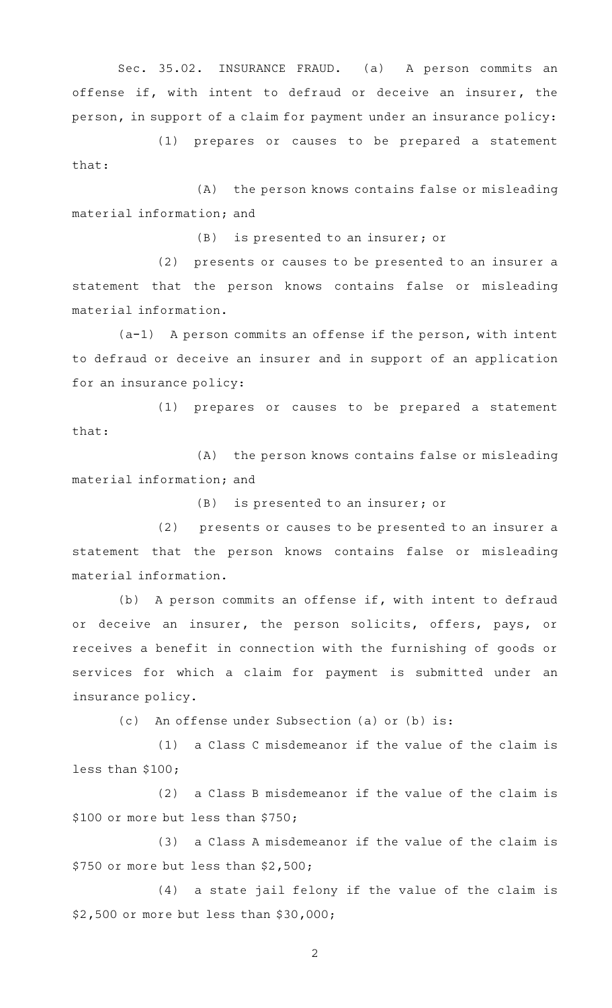Sec. 35.02. INSURANCE FRAUD. (a) A person commits an offense if, with intent to defraud or deceive an insurer, the person, in support of a claim for payment under an insurance policy:

(1) prepares or causes to be prepared a statement that:

(A) the person knows contains false or misleading material information; and

 $(B)$  is presented to an insurer; or

(2) presents or causes to be presented to an insurer a statement that the person knows contains false or misleading material information.

 $(a-1)$  A person commits an offense if the person, with intent to defraud or deceive an insurer and in support of an application for an insurance policy:

(1) prepares or causes to be prepared a statement that:

(A) the person knows contains false or misleading material information; and

 $(B)$  is presented to an insurer; or

(2) presents or causes to be presented to an insurer a statement that the person knows contains false or misleading material information.

(b) A person commits an offense if, with intent to defraud or deceive an insurer, the person solicits, offers, pays, or receives a benefit in connection with the furnishing of goods or services for which a claim for payment is submitted under an insurance policy.

(c) An offense under Subsection (a) or (b) is:

 $(1)$  a Class C misdemeanor if the value of the claim is less than \$100;

 $(2)$  a Class B misdemeanor if the value of the claim is \$100 or more but less than \$750;

 $(3)$  a Class A misdemeanor if the value of the claim is \$750 or more but less than \$2,500;

(4) a state jail felony if the value of the claim is \$2,500 or more but less than \$30,000;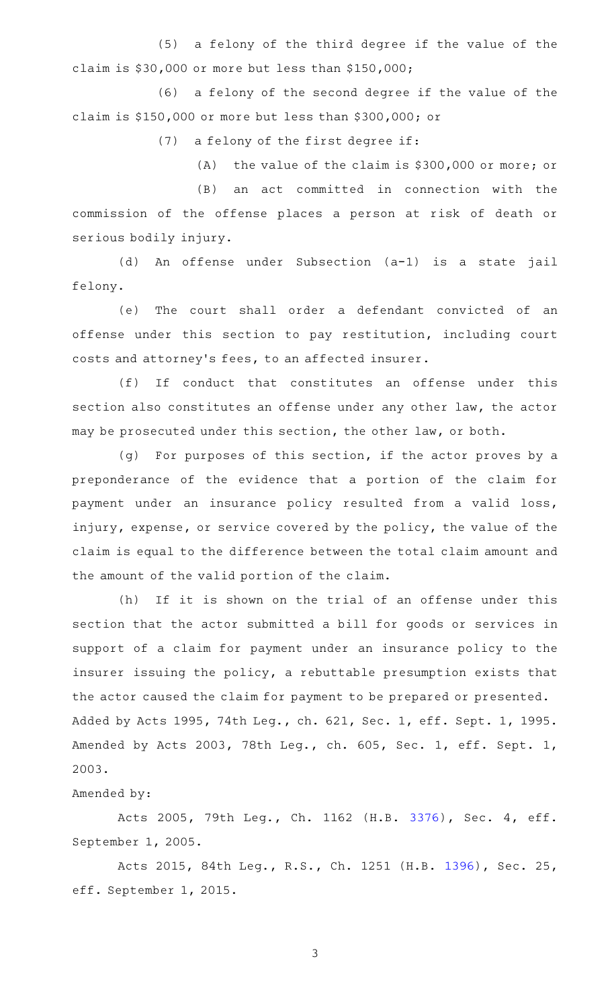(5) a felony of the third degree if the value of the claim is \$30,000 or more but less than \$150,000;

(6) a felony of the second degree if the value of the claim is \$150,000 or more but less than \$300,000; or

(7) a felony of the first degree if:

(A) the value of the claim is  $$300,000$  or more; or

(B) an act committed in connection with the commission of the offense places a person at risk of death or serious bodily injury.

(d) An offense under Subsection (a-1) is a state jail felony.

(e) The court shall order a defendant convicted of an offense under this section to pay restitution, including court costs and attorney 's fees, to an affected insurer.

(f) If conduct that constitutes an offense under this section also constitutes an offense under any other law, the actor may be prosecuted under this section, the other law, or both.

(g) For purposes of this section, if the actor proves by a preponderance of the evidence that a portion of the claim for payment under an insurance policy resulted from a valid loss, injury, expense, or service covered by the policy, the value of the claim is equal to the difference between the total claim amount and the amount of the valid portion of the claim.

(h) If it is shown on the trial of an offense under this section that the actor submitted a bill for goods or services in support of a claim for payment under an insurance policy to the insurer issuing the policy, a rebuttable presumption exists that the actor caused the claim for payment to be prepared or presented. Added by Acts 1995, 74th Leg., ch. 621, Sec. 1, eff. Sept. 1, 1995. Amended by Acts 2003, 78th Leg., ch. 605, Sec. 1, eff. Sept. 1, 2003.

Amended by:

Acts 2005, 79th Leg., Ch. 1162 (H.B. [3376](http://www.legis.state.tx.us/tlodocs/79R/billtext/html/HB03376F.HTM)), Sec. 4, eff. September 1, 2005.

Acts 2015, 84th Leg., R.S., Ch. 1251 (H.B. [1396](http://www.legis.state.tx.us/tlodocs/84R/billtext/html/HB01396F.HTM)), Sec. 25, eff. September 1, 2015.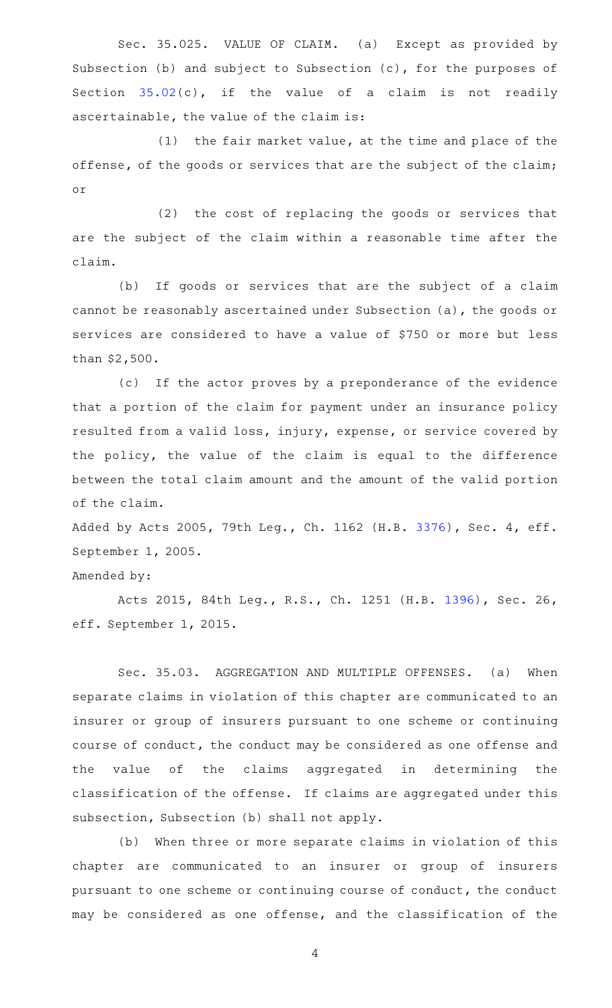Sec. 35.025. VALUE OF CLAIM. (a) Except as provided by Subsection (b) and subject to Subsection (c), for the purposes of Section [35.02](http://www.statutes.legis.state.tx.us/GetStatute.aspx?Code=PE&Value=35.02)(c), if the value of a claim is not readily ascertainable, the value of the claim is:

 $(1)$  the fair market value, at the time and place of the offense, of the goods or services that are the subject of the claim; or

(2) the cost of replacing the goods or services that are the subject of the claim within a reasonable time after the claim.

(b) If goods or services that are the subject of a claim cannot be reasonably ascertained under Subsection (a), the goods or services are considered to have a value of \$750 or more but less than \$2,500.

(c) If the actor proves by a preponderance of the evidence that a portion of the claim for payment under an insurance policy resulted from a valid loss, injury, expense, or service covered by the policy, the value of the claim is equal to the difference between the total claim amount and the amount of the valid portion of the claim.

Added by Acts 2005, 79th Leg., Ch. 1162 (H.B. [3376\)](http://www.legis.state.tx.us/tlodocs/79R/billtext/html/HB03376F.HTM), Sec. 4, eff. September 1, 2005.

## Amended by:

Acts 2015, 84th Leg., R.S., Ch. 1251 (H.B. [1396](http://www.legis.state.tx.us/tlodocs/84R/billtext/html/HB01396F.HTM)), Sec. 26, eff. September 1, 2015.

Sec. 35.03. AGGREGATION AND MULTIPLE OFFENSES. (a) When separate claims in violation of this chapter are communicated to an insurer or group of insurers pursuant to one scheme or continuing course of conduct, the conduct may be considered as one offense and the value of the claims aggregated in determining the classification of the offense. If claims are aggregated under this subsection, Subsection (b) shall not apply.

(b) When three or more separate claims in violation of this chapter are communicated to an insurer or group of insurers pursuant to one scheme or continuing course of conduct, the conduct may be considered as one offense, and the classification of the